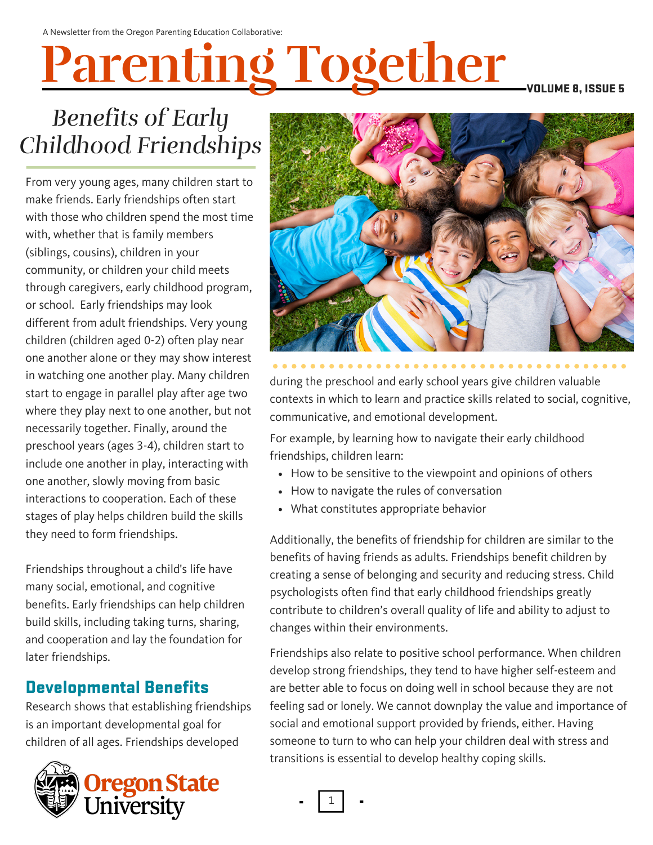# **Parenting Together**

VOLUME 8, ISSUE 5

## *Benefits of Early Childhood Friendships*

From very young ages, many children start to make friends. Early friendships often start with those who children spend the most time with, whether that is family members (siblings, cousins), children in your community, or children your child meets through caregivers, early childhood program, or school. Early friendships may look different from adult friendships. Very young children (children aged 0-2) often play near one another alone or they may show interest in watching one another play. Many children start to engage in parallel play after age two where they play next to one another, but not necessarily together. Finally, around the preschool years (ages 3-4), children start to include one another in play, interacting with one another, slowly moving from basic interactions to cooperation. Each of these stages of play helps children build the skills they need to form friendships.

Friendships throughout a child's life have many social, emotional, and cognitive benefits. Early friendships can help children build skills, including taking turns, sharing, and cooperation and lay the foundation for later friendships.

#### Developmental Benefits

Research shows that [establishing](http://ecrp.uiuc.edu/v13n1/yu.html) friendships is an important [developmental](http://ecrp.uiuc.edu/v13n1/yu.html) goal for children of all ages. Friendships developed





during the preschool and early school years give children valuable contexts in which to learn and practice skills related to social, cognitive, communicative, and emotional development.

For example, by learning how to navigate their early childhood friendships, children learn:

- How to be sensitive to the viewpoint and opinions of others
- How to navigate the rules of conversation
- What constitutes appropriate behavior

Additionally, the benefits of friendship for children are similar to the benefits of having friends as adults. Friendships benefit children by creating a sense of belonging and security and reducing stress. Child psychologists often find that early childhood friendships greatly contribute to children's overall quality of life and ability to adjust to changes within their environments.

Friendships also relate to positive school performance. When children develop strong friendships, they tend to have higher self-esteem and are better able to focus on doing well in school because they are not feeling sad or lonely. We cannot downplay the value and importance of social and emotional support provided by friends, either. Having someone to turn to who can help your children deal with stress and transitions is essential to develop healthy coping skills.